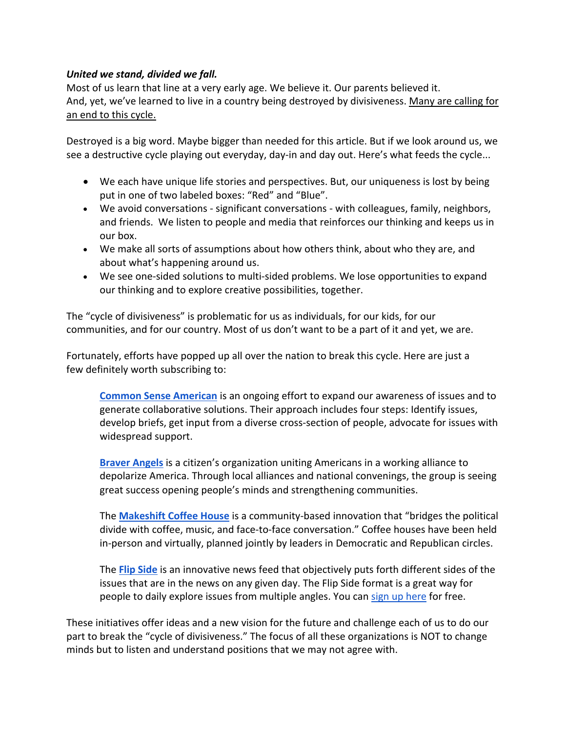## *United we stand, divided we fall.*

Most of us learn that line at a very early age. We believe it. Our parents believed it. And, yet, we've learned to live in a country being destroyed by divisiveness. Many are calling for an end to this cycle.

Destroyed is a big word. Maybe bigger than needed for this article. But if we look around us, we see a destructive cycle playing out everyday, day-in and day out. Here's what feeds the cycle...

- We each have unique life stories and perspectives. But, our uniqueness is lost by being put in one of two labeled boxes: "Red" and "Blue".
- We avoid conversations significant conversations with colleagues, family, neighbors, and friends. We listen to people and media that reinforces our thinking and keeps us in our box.
- We make all sorts of assumptions about how others think, about who they are, and about what's happening around us.
- We see one-sided solutions to multi-sided problems. We lose opportunities to expand our thinking and to explore creative possibilities, together.

The "cycle of divisiveness" is problematic for us as individuals, for our kids, for our communities, and for our country. Most of us don't want to be a part of it and yet, we are.

Fortunately, efforts have popped up all over the nation to break this cycle. Here are just a few definitely worth subscribing to:

**Common Sense American** is an ongoing effort to expand our awareness of issues and to generate collaborative solutions. Their approach includes four steps: Identify issues, develop briefs, get input from a diverse cross-section of people, advocate for issues with widespread support.

**Braver Angels** is a citizen's organization uniting Americans in a working alliance to depolarize America. Through local alliances and national convenings, the group is seeing great success opening people's minds and strengthening communities.

The **Makeshift Coffee House** is a community-based innovation that "bridges the political divide with coffee, music, and face-to-face conversation." Coffee houses have been held in-person and virtually, planned jointly by leaders in Democratic and Republican circles.

The **Flip Side** is an innovative news feed that objectively puts forth different sides of the issues that are in the news on any given day. The Flip Side format is a great way for people to daily explore issues from multiple angles. You can sign up here for free.

These initiatives offer ideas and a new vision for the future and challenge each of us to do our part to break the "cycle of divisiveness." The focus of all these organizations is NOT to change minds but to listen and understand positions that we may not agree with.